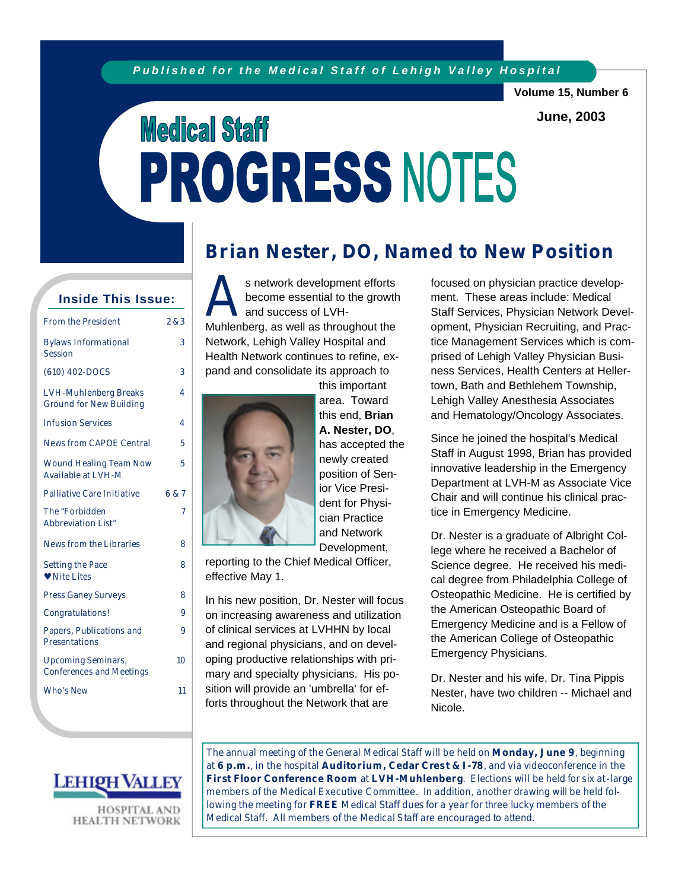**Volume 15, Number 6**

**June, 2003**

# **Medical Staff** PROGRESS NOTES

### **Inside This Issue:**

| <b>From the President</b>                               | 283   |
|---------------------------------------------------------|-------|
| <b>Bylaws Informational</b><br><b>Session</b>           | 3     |
| (610) 402-DOCS                                          | 3     |
| LVH-Muhlenberg Breaks<br><b>Ground for New Building</b> | 4     |
| <b>Infusion Services</b>                                | 4     |
| <b>News from CAPOE Central</b>                          | 5     |
| <b>Wound Healing Team Now</b><br>Available at LVH-M     | 5     |
| Palliative Care Initiative                              | 6 & 7 |
| The "Forbidden<br>Abbreviation List"                    | 7     |
| News from the Libraries                                 | 8     |
| Setting the Pace<br><b>v</b> Nite Lites                 | 8     |
| <b>Press Ganey Surveys</b>                              | 8     |
| Congratulations!                                        | 9     |
| Papers, Publications and<br>Presentations               | 9     |
| <b>Upcoming Seminars,</b><br>Conferences and Meetings   | 10    |
| Who's New                                               | 11    |



s network development efforts<br>become essential to the growth<br>and success of LVH-<br>Muhlenberg, as well as throughout the s network development efforts become essential to the growth and success of LVH-Network, Lehigh Valley Hospital and Health Network continues to refine, expand and consolidate its approach to this important



area. Toward this end, **Brian A. Nester, DO**, has accepted the newly created position of Senior Vice President for Physician Practice and Network Development,

reporting to the Chief Medical Officer, effective May 1.

In his new position, Dr. Nester will focus on increasing awareness and utilization of clinical services at LVHHN by local and regional physicians, and on developing productive relationships with primary and specialty physicians. His position will provide an 'umbrella' for efforts throughout the Network that are

focused on physician practice development. These areas include: Medical Staff Services, Physician Network Development, Physician Recruiting, and Practice Management Services which is comprised of Lehigh Valley Physician Business Services, Health Centers at Hellertown, Bath and Bethlehem Township, Lehigh Valley Anesthesia Associates and Hematology/Oncology Associates.

Since he joined the hospital's Medical Staff in August 1998, Brian has provided innovative leadership in the Emergency Department at LVH-M as Associate Vice Chair and will continue his clinical practice in Emergency Medicine.

Dr. Nester is a graduate of Albright College where he received a Bachelor of Science degree. He received his medical degree from Philadelphia College of Osteopathic Medicine. He is certified by the American Osteopathic Board of Emergency Medicine and is a Fellow of the American College of Osteopathic Emergency Physicians.

Dr. Nester and his wife, Dr. Tina Pippis Nester, have two children -- Michael and Nicole.



**HOSPITAL AND HEALTH NETWORK**  The annual meeting of the General Medical Staff will be held on **M onday, June 9**, beginning at **6 p.m.**, in the hospital **Auditorium, Cedar Crest & I -78**, and via videoconference in the **First Floor Conference Room** at **LVH -M uhlenberg**. Elections will be held for six at-large members of the Medical Executive Committee. In addition, another drawing will be held following the meeting for **FREE** Medical Staff dues for a year for three lucky members of the Medical Staff. All members of the Medical Staff are encouraged to attend.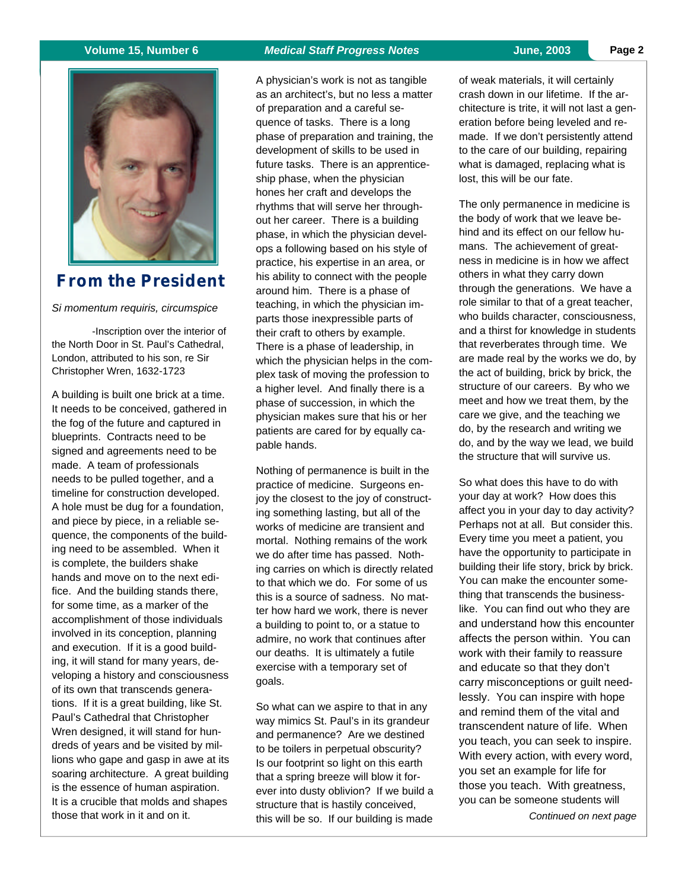

### **From the President**

*Si momentum requiris, circumspice*

-Inscription over the interior of the North Door in St. Paul's Cathedral, London, attributed to his son, re Sir Christopher Wren, 1632-1723

A building is built one brick at a time. It needs to be conceived, gathered in the fog of the future and captured in blueprints. Contracts need to be signed and agreements need to be made. A team of professionals needs to be pulled together, and a timeline for construction developed. A hole must be dug for a foundation, and piece by piece, in a reliable sequence, the components of the building need to be assembled. When it is complete, the builders shake hands and move on to the next edifice. And the building stands there, for some time, as a marker of the accomplishment of those individuals involved in its conception, planning and execution. If it is a good building, it will stand for many years, developing a history and consciousness of its own that transcends generations. If it is a great building, like St. Paul's Cathedral that Christopher Wren designed, it will stand for hundreds of years and be visited by millions who gape and gasp in awe at its soaring architecture. A great building is the essence of human aspiration. It is a crucible that molds and shapes those that work in it and on it.

A physician's work is not as tangible as an architect's, but no less a matter of preparation and a careful sequence of tasks. There is a long phase of preparation and training, the development of skills to be used in future tasks. There is an apprenticeship phase, when the physician hones her craft and develops the rhythms that will serve her throughout her career. There is a building phase, in which the physician develops a following based on his style of practice, his expertise in an area, or his ability to connect with the people around him. There is a phase of teaching, in which the physician imparts those inexpressible parts of their craft to others by example. There is a phase of leadership, in which the physician helps in the complex task of moving the profession to a higher level. And finally there is a phase of succession, in which the physician makes sure that his or her patients are cared for by equally ca-

pable hands.

goals.

Nothing of permanence is built in the practice of medicine. Surgeons enjoy the closest to the joy of constructing something lasting, but all of the works of medicine are transient and mortal. Nothing remains of the work we do after time has passed. Nothing carries on which is directly related to that which we do. For some of us this is a source of sadness. No matter how hard we work, there is never a building to point to, or a statue to admire, no work that continues after our deaths. It is ultimately a futile exercise with a temporary set of

So what can we aspire to that in any way mimics St. Paul's in its grandeur and permanence? Are we destined to be toilers in perpetual obscurity? Is our footprint so light on this earth that a spring breeze will blow it forever into dusty oblivion? If we build a structure that is hastily conceived, this will be so. If our building is made

lost, this will be our fate.

of weak materials, it will certainly crash down in our lifetime. If the architecture is trite, it will not last a generation before being leveled and remade. If we don't persistently attend to the care of our building, repairing what is damaged, replacing what is

The only permanence in medicine is the body of work that we leave behind and its effect on our fellow humans. The achievement of greatness in medicine is in how we affect others in what they carry down through the generations. We have a role similar to that of a great teacher, who builds character, consciousness, and a thirst for knowledge in students that reverberates through time. We are made real by the works we do, by the act of building, brick by brick, the structure of our careers. By who we meet and how we treat them, by the care we give, and the teaching we do, by the research and writing we do, and by the way we lead, we build the structure that will survive us.

So what does this have to do with your day at work? How does this affect you in your day to day activity? Perhaps not at all. But consider this. Every time you meet a patient, you have the opportunity to participate in building their life story, brick by brick. You can make the encounter something that transcends the businesslike. You can find out who they are and understand how this encounter affects the person within. You can work with their family to reassure and educate so that they don't carry misconceptions or guilt needlessly. You can inspire with hope and remind them of the vital and transcendent nature of life. When you teach, you can seek to inspire. With every action, with every word, you set an example for life for those you teach. With greatness, you can be someone students will

*Continued on next page*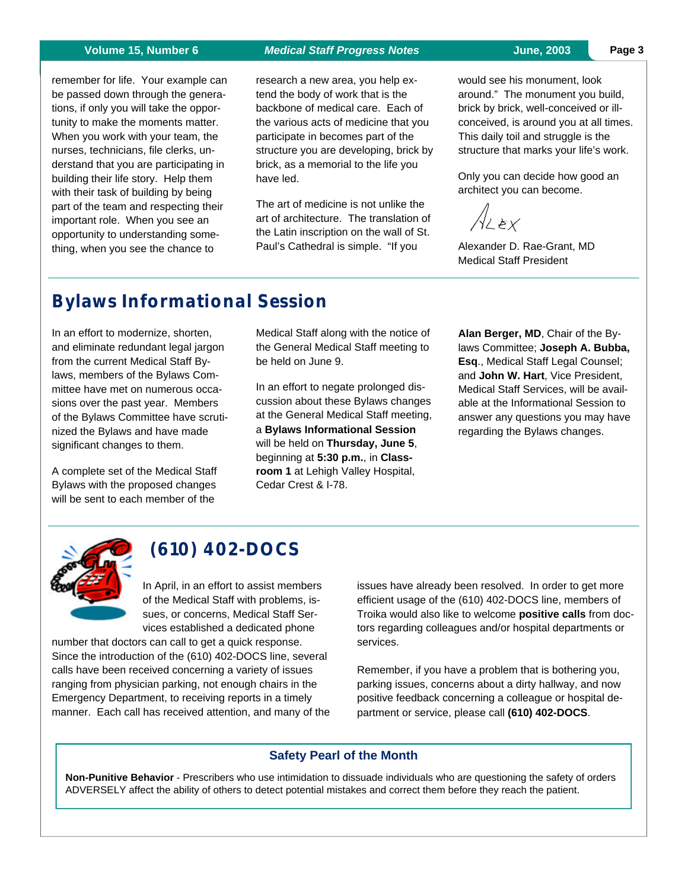remember for life. Your example can be passed down through the generations, if only you will take the opportunity to make the moments matter. When you work with your team, the nurses, technicians, file clerks, understand that you are participating in building their life story. Help them with their task of building by being part of the team and respecting their important role. When you see an opportunity to understanding something, when you see the chance to

#### **Volume 15, Number 6** *Medical Staff Progress Notes* **June, 2003**

research a new area, you help extend the body of work that is the backbone of medical care. Each of the various acts of medicine that you participate in becomes part of the structure you are developing, brick by brick, as a memorial to the life you have led.

The art of medicine is not unlike the art of architecture. The translation of the Latin inscription on the wall of St. Paul's Cathedral is simple. "If you

would see his monument, look around." The monument you build, brick by brick, well-conceived or illconceived, is around you at all times. This daily toil and struggle is the structure that marks your life's work.

Only you can decide how good an architect you can become.

LEX

Alexander D. Rae-Grant, MD Medical Staff President

# **Bylaws Informational Session**

In an effort to modernize, shorten, and eliminate redundant legal jargon from the current Medical Staff Bylaws, members of the Bylaws Committee have met on numerous occasions over the past year. Members of the Bylaws Committee have scrutinized the Bylaws and have made significant changes to them.

A complete set of the Medical Staff Bylaws with the proposed changes will be sent to each member of the

Medical Staff along with the notice of the General Medical Staff meeting to be held on June 9.

In an effort to negate prolonged discussion about these Bylaws changes at the General Medical Staff meeting, a **Bylaws Informational Session** will be held on **Thursday, June 5**, beginning at **5:30 p.m.**, in **Classroom 1** at Lehigh Valley Hospital, Cedar Crest & I-78.

**Alan Berger, MD**, Chair of the Bylaws Committee; **Joseph A. Bubba, Esq**., Medical Staff Legal Counsel; and **John W. Hart**, Vice President, Medical Staff Services, will be available at the Informational Session to answer any questions you may have regarding the Bylaws changes.



### **(610) 402-DOCS**

In April, in an effort to assist members of the Medical Staff with problems, issues, or concerns, Medical Staff Services established a dedicated phone

number that doctors can call to get a quick response. Since the introduction of the (610) 402-DOCS line, several calls have been received concerning a variety of issues ranging from physician parking, not enough chairs in the Emergency Department, to receiving reports in a timely manner. Each call has received attention, and many of the issues have already been resolved. In order to get more efficient usage of the (610) 402-DOCS line, members of Troika would also like to welcome **positive calls** from doctors regarding colleagues and/or hospital departments or services.

Remember, if you have a problem that is bothering you, parking issues, concerns about a dirty hallway, and now positive feedback concerning a colleague or hospital department or service, please call **(610) 402-DOCS**.

### **Safety Pearl of the Month**

 **Non-Punitive Behavior** - Prescribers who use intimidation to dissuade individuals who are questioning the safety of orders ADVERSELY affect the ability of others to detect potential mistakes and correct them before they reach the patient.

**Page 3**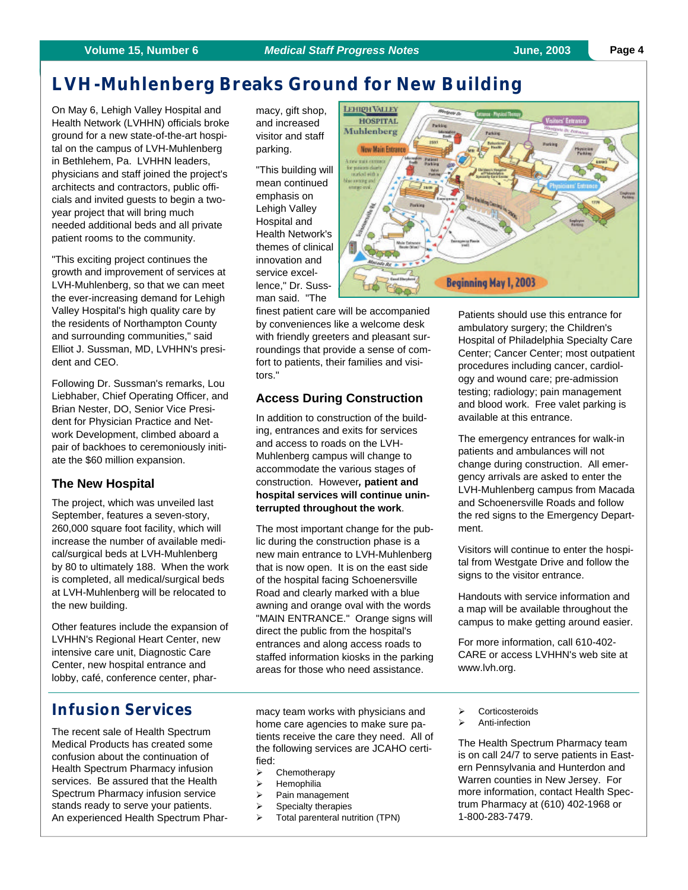### **Volume 15, Number 6** *Medical Staff Progress Notes* **June, 2003**

# **LVH -Muhlenberg Breaks Ground for New Building**

On May 6, Lehigh Valley Hospital and Health Network (LVHHN) officials broke ground for a new state-of-the-art hospital on the campus of LVH-Muhlenberg in Bethlehem, Pa. LVHHN leaders, physicians and staff joined the project's architects and contractors, public officials and invited guests to begin a twoyear project that will bring much needed additional beds and all private patient rooms to the community.

"This exciting project continues the growth and improvement of services at LVH-Muhlenberg, so that we can meet the ever-increasing demand for Lehigh Valley Hospital's high quality care by the residents of Northampton County and surrounding communities," said Elliot J. Sussman, MD, LVHHN's president and CEO.

Following Dr. Sussman's remarks, Lou Liebhaber, Chief Operating Officer, and Brian Nester, DO, Senior Vice President for Physician Practice and Network Development, climbed aboard a pair of backhoes to ceremoniously initiate the \$60 million expansion.

### **The New Hospital**

The project, which was unveiled last September, features a seven-story, 260,000 square foot facility, which will increase the number of available medical/surgical beds at LVH-Muhlenberg by 80 to ultimately 188. When the work is completed, all medical/surgical beds at LVH-Muhlenberg will be relocated to the new building.

Other features include the expansion of LVHHN's Regional Heart Center, new intensive care unit, Diagnostic Care Center, new hospital entrance and lobby, café, conference center, phar-

macy, gift shop, and increased visitor and staff parking.

"This building will mean continued emphasis on Lehigh Valley Hospital and Health Network's themes of clinical innovation and service excellence," Dr. Sussman said. "The

finest patient care will be accompanied by conveniences like a welcome desk with friendly greeters and pleasant surroundings that provide a sense of comfort to patients, their families and visitors."

### **Access During Construction**

In addition to construction of the building, entrances and exits for services and access to roads on the LVH-Muhlenberg campus will change to accommodate the various stages of construction. However*,* **patient and hospital services will continue uninterrupted throughout the work**.

The most important change for the public during the construction phase is a new main entrance to LVH-Muhlenberg that is now open. It is on the east side of the hospital facing Schoenersville Road and clearly marked with a blue awning and orange oval with the words "MAIN ENTRANCE." Orange signs will direct the public from the hospital's entrances and along access roads to staffed information kiosks in the parking areas for those who need assistance.

Patients should use this entrance for ambulatory surgery; the Children's Hospital of Philadelphia Specialty Care Center; Cancer Center; most outpatient procedures including cancer, cardiology and wound care; pre-admission testing; radiology; pain management and blood work. Free valet parking is available at this entrance.

The emergency entrances for walk-in patients and ambulances will not change during construction. All emergency arrivals are asked to enter the LVH-Muhlenberg campus from Macada and Schoenersville Roads and follow the red signs to the Emergency Department.

Visitors will continue to enter the hospital from Westgate Drive and follow the signs to the visitor entrance.

Handouts with service information and a map will be available throughout the campus to make getting around easier.

For more information, call 610-402- CARE or access LVHHN's web site at www.lvh.org.

### **Infusion Services**

The recent sale of Health Spectrum Medical Products has created some confusion about the continuation of Health Spectrum Pharmacy infusion services. Be assured that the Health Spectrum Pharmacy infusion service stands ready to serve your patients. An experienced Health Spectrum Phar-

macy team works with physicians and home care agencies to make sure patients receive the care they need. All of the following services are JCAHO certified:

- $\triangleright$  Chemotherapy
- $\triangleright$  Hemophilia
- $\triangleright$  Pain management
- $\triangleright$  Specialty therapies
- $\triangleright$  Total parenteral nutrition (TPN)
- **Corticosteroids**
- Anti-infection

The Health Spectrum Pharmacy team is on call 24/7 to serve patients in Eastern Pennsylvania and Hunterdon and Warren counties in New Jersey. For more information, contact Health Spectrum Pharmacy at (610) 402-1968 or 1-800-283-7479.

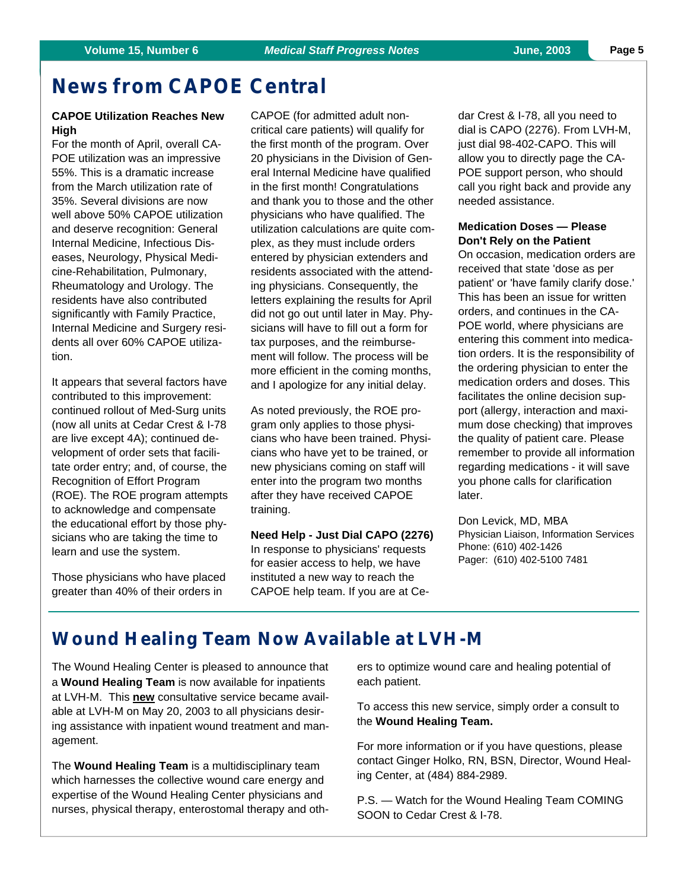### **News from CAPOE Central**

### **CAPOE Utilization Reaches New High**

For the month of April, overall CA-POE utilization was an impressive 55%. This is a dramatic increase from the March utilization rate of 35%. Several divisions are now well above 50% CAPOE utilization and deserve recognition: General Internal Medicine, Infectious Diseases, Neurology, Physical Medicine-Rehabilitation, Pulmonary, Rheumatology and Urology. The residents have also contributed significantly with Family Practice, Internal Medicine and Surgery residents all over 60% CAPOE utilization.

It appears that several factors have contributed to this improvement: continued rollout of Med-Surg units (now all units at Cedar Crest & I-78 are live except 4A); continued development of order sets that facilitate order entry; and, of course, the Recognition of Effort Program (ROE). The ROE program attempts to acknowledge and compensate the educational effort by those physicians who are taking the time to learn and use the system.

Those physicians who have placed greater than 40% of their orders in

CAPOE (for admitted adult noncritical care patients) will qualify for the first month of the program. Over 20 physicians in the Division of General Internal Medicine have qualified in the first month! Congratulations and thank you to those and the other physicians who have qualified. The utilization calculations are quite complex, as they must include orders entered by physician extenders and residents associated with the attending physicians. Consequently, the letters explaining the results for April did not go out until later in May. Physicians will have to fill out a form for tax purposes, and the reimbursement will follow. The process will be more efficient in the coming months, and I apologize for any initial delay.

As noted previously, the ROE program only applies to those physicians who have been trained. Physicians who have yet to be trained, or new physicians coming on staff will enter into the program two months after they have received CAPOE training.

**Need Help - Just Dial CAPO (2276)** In response to physicians' requests for easier access to help, we have instituted a new way to reach the CAPOE help team. If you are at Ce-

dar Crest & I-78, all you need to dial is CAPO (2276). From LVH-M, just dial 98-402-CAPO. This will allow you to directly page the CA-POE support person, who should call you right back and provide any needed assistance.

### **Medication Doses — Please Don't Rely on the Patient**

On occasion, medication orders are received that state 'dose as per patient' or 'have family clarify dose.' This has been an issue for written orders, and continues in the CA-POE world, where physicians are entering this comment into medication orders. It is the responsibility of the ordering physician to enter the medication orders and doses. This facilitates the online decision support (allergy, interaction and maximum dose checking) that improves the quality of patient care. Please remember to provide all information regarding medications - it will save you phone calls for clarification later.

Don Levick, MD, MBA Physician Liaison, Information Services Phone: (610) 402-1426 Pager: (610) 402-5100 7481

### **W ound H ealing Team Now Available at LVH -M**

The Wound Healing Center is pleased to announce that a **Wound Healing Team** is now available for inpatients at LVH-M. This **new** consultative service became available at LVH-M on May 20, 2003 to all physicians desiring assistance with inpatient wound treatment and management.

The **Wound Healing Team** is a multidisciplinary team which harnesses the collective wound care energy and expertise of the Wound Healing Center physicians and nurses, physical therapy, enterostomal therapy and others to optimize wound care and healing potential of each patient.

To access this new service, simply order a consult to the **Wound Healing Team.** 

For more information or if you have questions, please contact Ginger Holko, RN, BSN, Director, Wound Healing Center, at (484) 884-2989.

P.S. — Watch for the Wound Healing Team COMING SOON to Cedar Crest & I-78.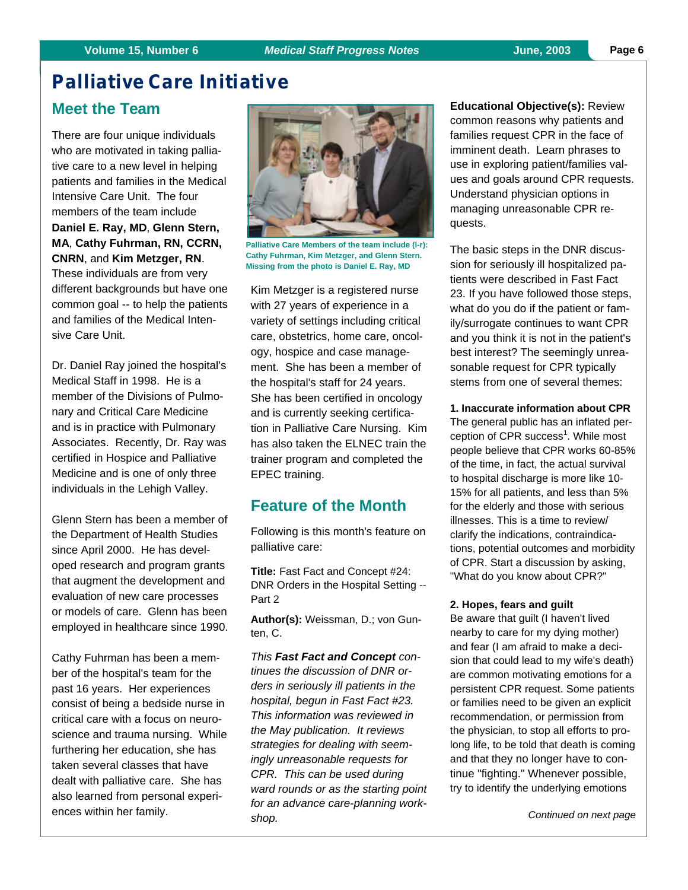### **Palliative Care Initiative**

### **Meet the Team**

There are four unique individuals who are motivated in taking palliative care to a new level in helping patients and families in the Medical Intensive Care Unit. The four members of the team include **Daniel E. Ray, MD**, **Glenn Stern, MA**, **Cathy Fuhrman, RN, CCRN, CNRN**, and **Kim Metzger, RN**. These individuals are from very different backgrounds but have one common goal -- to help the patients and families of the Medical Intensive Care Unit.

Dr. Daniel Ray joined the hospital's Medical Staff in 1998. He is a member of the Divisions of Pulmonary and Critical Care Medicine and is in practice with Pulmonary Associates. Recently, Dr. Ray was certified in Hospice and Palliative Medicine and is one of only three individuals in the Lehigh Valley.

Glenn Stern has been a member of the Department of Health Studies since April 2000. He has developed research and program grants that augment the development and evaluation of new care processes or models of care. Glenn has been employed in healthcare since 1990.

Cathy Fuhrman has been a member of the hospital's team for the past 16 years. Her experiences consist of being a bedside nurse in critical care with a focus on neuroscience and trauma nursing. While furthering her education, she has taken several classes that have dealt with palliative care. She has also learned from personal experiences within her family.



**Palliative Care Members of the team include (l-r): Cathy Fuhrman, Kim Metzger, and Glenn Stern. Missing from the photo is Daniel E. Ray, MD**

Kim Metzger is a registered nurse with 27 years of experience in a variety of settings including critical care, obstetrics, home care, oncology, hospice and case management. She has been a member of the hospital's staff for 24 years. She has been certified in oncology and is currently seeking certification in Palliative Care Nursing. Kim has also taken the ELNEC train the trainer program and completed the EPEC training.

### **Feature of the Month**

Following is this month's feature on palliative care:

**Title:** Fast Fact and Concept #24: DNR Orders in the Hospital Setting -- Part 2

**Author(s):** Weissman, D.; von Gunten, C.

*This Fast Fact and Concept continues the discussion of DNR orders in seriously ill patients in the hospital, begun in Fast Fact #23. This information was reviewed in the May publication. It reviews strategies for dealing with seemingly unreasonable requests for CPR. This can be used during ward rounds or as the starting point for an advance care-planning workshop.*

**Educational Objective(s):** Review common reasons why patients and families request CPR in the face of imminent death. Learn phrases to use in exploring patient/families values and goals around CPR requests. Understand physician options in managing unreasonable CPR requests.

The basic steps in the DNR discussion for seriously ill hospitalized patients were described in Fast Fact 23. If you have followed those steps, what do you do if the patient or family/surrogate continues to want CPR and you think it is not in the patient's best interest? The seemingly unreasonable request for CPR typically stems from one of several themes:

### **1. Inaccurate information about CPR**

The general public has an inflated perception of CPR success<sup>1</sup>. While most people believe that CPR works 60-85% of the time, in fact, the actual survival to hospital discharge is more like 10- 15% for all patients, and less than 5% for the elderly and those with serious illnesses. This is a time to review/ clarify the indications, contraindications, potential outcomes and morbidity of CPR. Start a discussion by asking, "What do you know about CPR?"

#### **2. Hopes, fears and guilt**

Be aware that guilt (I haven't lived nearby to care for my dying mother) and fear (I am afraid to make a decision that could lead to my wife's death) are common motivating emotions for a persistent CPR request. Some patients or families need to be given an explicit recommendation, or permission from the physician, to stop all efforts to prolong life, to be told that death is coming and that they no longer have to continue "fighting." Whenever possible, try to identify the underlying emotions

*Continued on next page*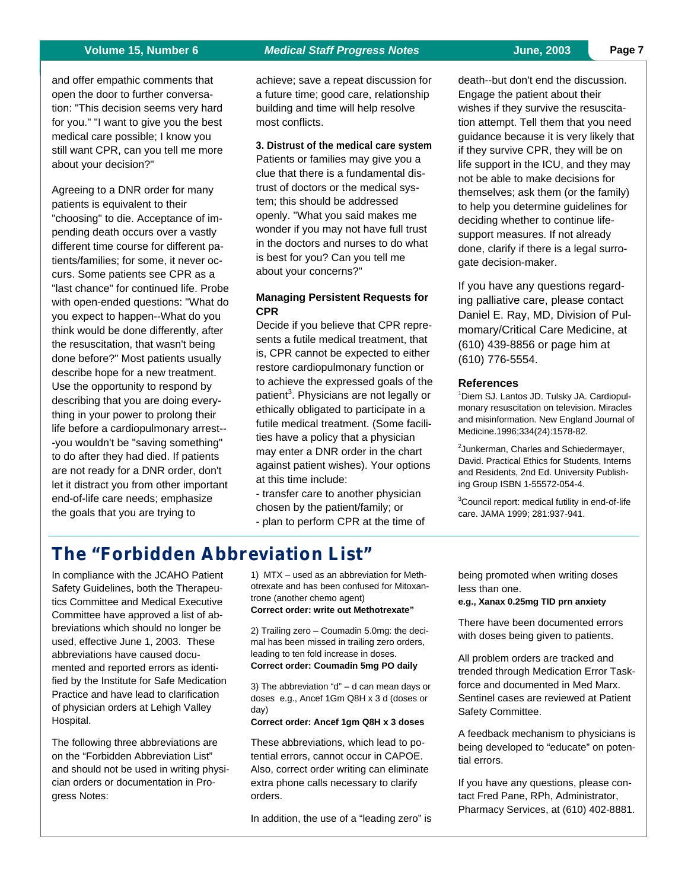and offer empathic comments that open the door to further conversation: "This decision seems very hard for you." "I want to give you the best medical care possible; I know you still want CPR, can you tell me more about your decision?"

Agreeing to a DNR order for many patients is equivalent to their "choosing" to die. Acceptance of impending death occurs over a vastly different time course for different patients/families; for some, it never occurs. Some patients see CPR as a "last chance" for continued life. Probe with open-ended questions: "What do you expect to happen--What do you think would be done differently, after the resuscitation, that wasn't being done before?" Most patients usually describe hope for a new treatment. Use the opportunity to respond by describing that you are doing everything in your power to prolong their life before a cardiopulmonary arrest-- -you wouldn't be "saving something" to do after they had died. If patients are not ready for a DNR order, don't let it distract you from other important end-of-life care needs; emphasize the goals that you are trying to

achieve; save a repeat discussion for a future time; good care, relationship building and time will help resolve most conflicts.

### **3. Distrust of the medical care system**

Patients or families may give you a clue that there is a fundamental distrust of doctors or the medical system; this should be addressed openly. "What you said makes me wonder if you may not have full trust in the doctors and nurses to do what is best for you? Can you tell me about your concerns?"

### **Managing Persistent Requests for CPR**

Decide if you believe that CPR represents a futile medical treatment, that is, CPR cannot be expected to either restore cardiopulmonary function or to achieve the expressed goals of the patient<sup>3</sup>. Physicians are not legally or ethically obligated to participate in a futile medical treatment. (Some facilities have a policy that a physician may enter a DNR order in the chart against patient wishes). Your options at this time include:

- transfer care to another physician chosen by the patient/family; or - plan to perform CPR at the time of

death--but don't end the discussion. Engage the patient about their wishes if they survive the resuscitation attempt. Tell them that you need guidance because it is very likely that if they survive CPR, they will be on life support in the ICU, and they may not be able to make decisions for themselves; ask them (or the family) to help you determine guidelines for deciding whether to continue lifesupport measures. If not already done, clarify if there is a legal surrogate decision-maker.

If you have any questions regarding palliative care, please contact Daniel E. Ray, MD, Division of Pulmomary/Critical Care Medicine, at (610) 439-8856 or page him at (610) 776-5554.

### **References**

<sup>1</sup>Diem SJ. Lantos JD. Tulsky JA. Cardiopulmonary resuscitation on television. Miracles and misinformation. New England Journal of Medicine.1996;334(24):1578-82.

<sup>2</sup> Junkerman, Charles and Schiedermayer, David. Practical Ethics for Students, Interns and Residents, 2nd Ed. University Publishing Group ISBN 1-55572-054-4.

<sup>3</sup>Council report: medical futility in end-of-life care. JAMA 1999; 281:937-941.

### **The "Forbidden Abbreviation List"**

In compliance with the JCAHO Patient Safety Guidelines, both the Therapeutics Committee and Medical Executive Committee have approved a list of abbreviations which should no longer be used, effective June 1, 2003. These abbreviations have caused documented and reported errors as identified by the Institute for Safe Medication Practice and have lead to clarification of physician orders at Lehigh Valley Hospital.

The following three abbreviations are on the "Forbidden Abbreviation List" and should not be used in writing physician orders or documentation in Progress Notes:

1) MTX – used as an abbreviation for Methotrexate and has been confused for Mitoxantrone (another chemo agent) **Correct order: write out Methotrexate"**

2) Trailing zero – Coumadin 5.0mg: the decimal has been missed in trailing zero orders, leading to ten fold increase in doses. **Correct order: Coumadin 5mg PO daily**

3) The abbreviation "d" – d can mean days or doses e.g., Ancef 1Gm Q8H x 3 d (doses or day)

### **Correct order: Ancef 1gm Q8H x 3 doses**

These abbreviations, which lead to potential errors, cannot occur in CAPOE. Also, correct order writing can eliminate extra phone calls necessary to clarify orders.

In addition, the use of a "leading zero" is

being promoted when writing doses less than one.

**e.g., Xanax 0.25mg TID prn anxiety**

There have been documented errors with doses being given to patients.

All problem orders are tracked and trended through Medication Error Taskforce and documented in Med Marx. Sentinel cases are reviewed at Patient Safety Committee.

A feedback mechanism to physicians is being developed to "educate" on potential errors.

If you have any questions, please contact Fred Pane, RPh, Administrator, Pharmacy Services, at (610) 402-8881.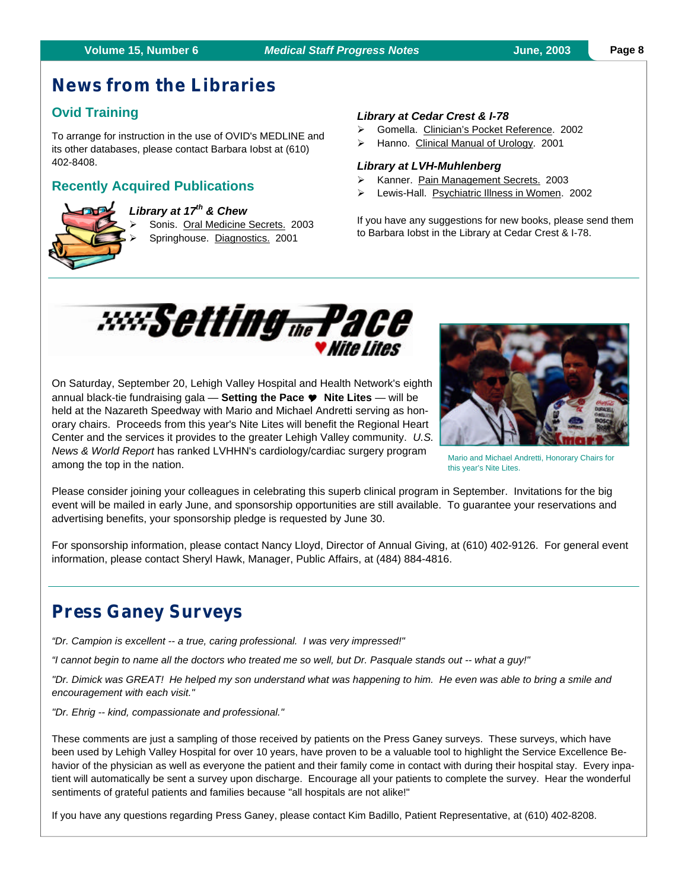### **Produme 15, Number 6** Medical Staff Progress Notes *June, 2003*

### **News from the Libraries**

### **Ovid Training**

To arrange for instruction in the use of OVID's MEDLINE and its other databases, please contact Barbara Iobst at (610) 402-8408.

### **Recently Acquired Publications**



*Library at 17th & Chew*

Sonis. Oral Medicine Secrets. 2003 Springhouse. Diagnostics. 2001

### *Library at Cedar Crest & I-78*

- ÿ Gomella. Clinician's Pocket Reference. 2002
- ÿ Hanno. Clinical Manual of Urology. 2001

### *Library at LVH-Muhlenberg*

- ÿ Kanner. Pain Management Secrets. 2003
- ÿ Lewis-Hall. Psychiatric Illness in Women. 2002

If you have any suggestions for new books, please send them to Barbara Iobst in the Library at Cedar Crest & I-78.



On Saturday, September 20, Lehigh Valley Hospital and Health Network's eighth annual black-tie fundraising gala — **Setting the Pace** Y **Nite Lites** — will be held at the Nazareth Speedway with Mario and Michael Andretti serving as honorary chairs. Proceeds from this year's Nite Lites will benefit the Regional Heart Center and the services it provides to the greater Lehigh Valley community. *U.S. News & World Report* has ranked LVHHN's cardiology/cardiac surgery program among the top in the nation.



Mario and Michael Andretti, Honorary Chairs for this year's Nite Lites.

Please consider joining your colleagues in celebrating this superb clinical program in September. Invitations for the big event will be mailed in early June, and sponsorship opportunities are still available. To guarantee your reservations and advertising benefits, your sponsorship pledge is requested by June 30.

For sponsorship information, please contact Nancy Lloyd, Director of Annual Giving, at (610) 402-9126. For general event information, please contact Sheryl Hawk, Manager, Public Affairs, at (484) 884-4816.

### **Press Ganey Surveys**

*"Dr. Campion is excellent -- a true, caring professional. I was very impressed!"*

*"I cannot begin to name all the doctors who treated me so well, but Dr. Pasquale stands out -- what a guy!"*

*"Dr. Dimick was GREAT! He helped my son understand what was happening to him. He even was able to bring a smile and encouragement with each visit."*

*"Dr. Ehrig -- kind, compassionate and professional."*

These comments are just a sampling of those received by patients on the Press Ganey surveys. These surveys, which have been used by Lehigh Valley Hospital for over 10 years, have proven to be a valuable tool to highlight the Service Excellence Behavior of the physician as well as everyone the patient and their family come in contact with during their hospital stay. Every inpatient will automatically be sent a survey upon discharge. Encourage all your patients to complete the survey. Hear the wonderful sentiments of grateful patients and families because "all hospitals are not alike!"

If you have any questions regarding Press Ganey, please contact Kim Badillo, Patient Representative, at (610) 402-8208.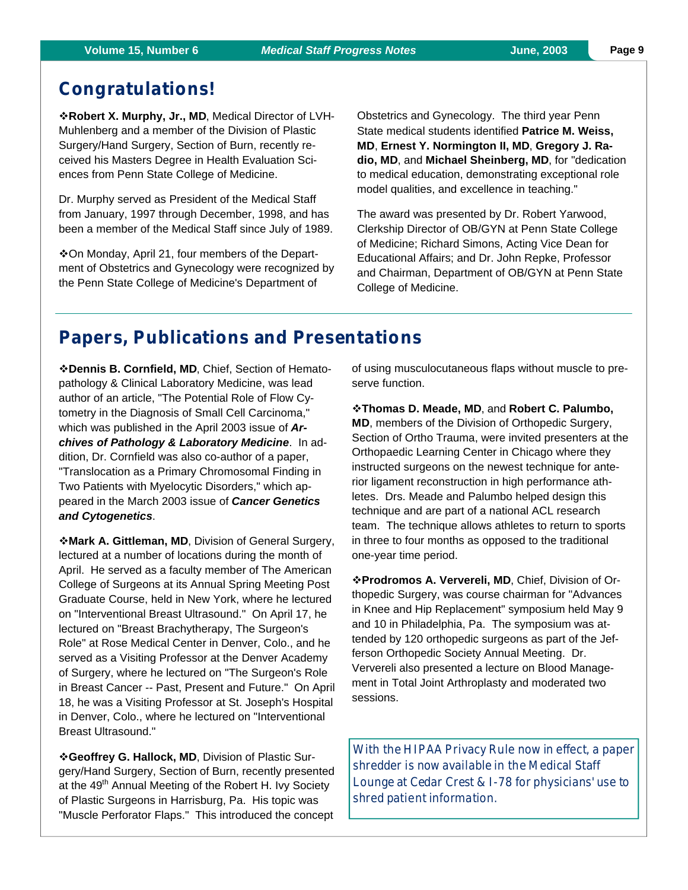**Page 9**

### **Congratulations!**

v**Robert X. Murphy, Jr., MD**, Medical Director of LVH-Muhlenberg and a member of the Division of Plastic Surgery/Hand Surgery, Section of Burn, recently received his Masters Degree in Health Evaluation Sciences from Penn State College of Medicine.

Dr. Murphy served as President of the Medical Staff from January, 1997 through December, 1998, and has been a member of the Medical Staff since July of 1989.

**\*On Monday, April 21, four members of the Depart**ment of Obstetrics and Gynecology were recognized by the Penn State College of Medicine's Department of

Obstetrics and Gynecology. The third year Penn State medical students identified **Patrice M. Weiss, MD**, **Ernest Y. Normington II, MD**, **Gregory J. Radio, MD**, and **Michael Sheinberg, MD**, for "dedication to medical education, demonstrating exceptional role model qualities, and excellence in teaching."

The award was presented by Dr. Robert Yarwood, Clerkship Director of OB/GYN at Penn State College of Medicine; Richard Simons, Acting Vice Dean for Educational Affairs; and Dr. John Repke, Professor and Chairman, Department of OB/GYN at Penn State College of Medicine.

### **Papers, Publications and Presentations**

v**Dennis B. Cornfield, MD**, Chief, Section of Hematopathology & Clinical Laboratory Medicine, was lead author of an article, "The Potential Role of Flow Cytometry in the Diagnosis of Small Cell Carcinoma," which was published in the April 2003 issue of *Archives of Pathology & Laboratory Medicine*. In addition, Dr. Cornfield was also co-author of a paper, "Translocation as a Primary Chromosomal Finding in Two Patients with Myelocytic Disorders," which appeared in the March 2003 issue of *Cancer Genetics and Cytogenetics*.

**\*Mark A. Gittleman, MD, Division of General Surgery,** lectured at a number of locations during the month of April. He served as a faculty member of The American College of Surgeons at its Annual Spring Meeting Post Graduate Course, held in New York, where he lectured on "Interventional Breast Ultrasound." On April 17, he lectured on "Breast Brachytherapy, The Surgeon's Role" at Rose Medical Center in Denver, Colo., and he served as a Visiting Professor at the Denver Academy of Surgery, where he lectured on "The Surgeon's Role in Breast Cancer -- Past, Present and Future." On April 18, he was a Visiting Professor at St. Joseph's Hospital in Denver, Colo., where he lectured on "Interventional Breast Ultrasound."

v**Geoffrey G. Hallock, MD**, Division of Plastic Surgery/Hand Surgery, Section of Burn, recently presented at the 49<sup>th</sup> Annual Meeting of the Robert H. Ivy Society of Plastic Surgeons in Harrisburg, Pa. His topic was "Muscle Perforator Flaps." This introduced the concept

of using musculocutaneous flaps without muscle to preserve function.

v**Thomas D. Meade, MD**, and **Robert C. Palumbo, MD**, members of the Division of Orthopedic Surgery, Section of Ortho Trauma, were invited presenters at the Orthopaedic Learning Center in Chicago where they instructed surgeons on the newest technique for anterior ligament reconstruction in high performance athletes. Drs. Meade and Palumbo helped design this technique and are part of a national ACL research team. The technique allows athletes to return to sports in three to four months as opposed to the traditional one-year time period.

v**Prodromos A. Ververeli, MD**, Chief, Division of Orthopedic Surgery, was course chairman for "Advances in Knee and Hip Replacement" symposium held May 9 and 10 in Philadelphia, Pa. The symposium was attended by 120 orthopedic surgeons as part of the Jefferson Orthopedic Society Annual Meeting. Dr. Ververeli also presented a lecture on Blood Management in Total Joint Arthroplasty and moderated two sessions.

With the HIPAA Privacy Rule now in effect, a paper shredder is now available in the Medical Staff Lounge at Cedar Crest & I-78 for physicians' use to shred patient information.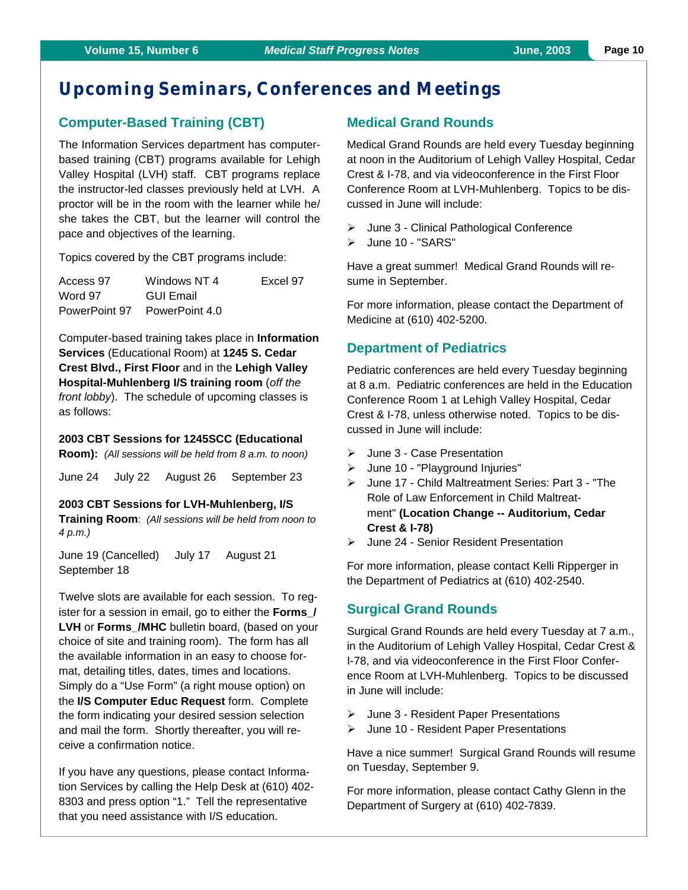### **Upcoming Seminars, Conferences and M eetings**

### **Computer-Based Training (CBT)**

The Information Services department has computerbased training (CBT) programs available for Lehigh Valley Hospital (LVH) staff. CBT programs replace the instructor-led classes previously held at LVH. A proctor will be in the room with the learner while he/ she takes the CBT, but the learner will control the pace and objectives of the learning.

Topics covered by the CBT programs include:

| Access 97     | Windows NT 4   | Excel 97 |
|---------------|----------------|----------|
| Word 97       | GUI Email      |          |
| PowerPoint 97 | PowerPoint 4.0 |          |

Computer-based training takes place in **Information Services** (Educational Room) at **1245 S. Cedar Crest Blvd., First Floor** and in the **Lehigh Valley Hospital-Muhlenberg I/S training room** (*off the front lobby*). The schedule of upcoming classes is as follows:

### **2003 CBT Sessions for 1245SCC (Educational**

**Room):** *(All sessions will be held from 8 a.m. to noon)*

June 24 July 22 August 26 September 23

**2003 CBT Sessions for LVH-Muhlenberg, I/S Training Room**: *(All sessions will be held from noon to 4 p.m.)*

June 19 (Cancelled) July 17 August 21 September 18

Twelve slots are available for each session. To register for a session in email, go to either the **Forms\_/** LVH or Forms /MHC bulletin board, (based on your choice of site and training room). The form has all the available information in an easy to choose format, detailing titles, dates, times and locations. Simply do a "Use Form" (a right mouse option) on the **I/S Computer Educ Request** form. Complete the form indicating your desired session selection and mail the form. Shortly thereafter, you will receive a confirmation notice.

If you have any questions, please contact Information Services by calling the Help Desk at (610) 402- 8303 and press option "1." Tell the representative that you need assistance with I/S education.

### **Medical Grand Rounds**

Medical Grand Rounds are held every Tuesday beginning at noon in the Auditorium of Lehigh Valley Hospital, Cedar Crest & I-78, and via videoconference in the First Floor Conference Room at LVH-Muhlenberg. Topics to be discussed in June will include:

- $\triangleright$  June 3 Clinical Pathological Conference
- > June 10 "SARS"

Have a great summer! Medical Grand Rounds will resume in September.

For more information, please contact the Department of Medicine at (610) 402-5200.

### **Department of Pediatrics**

Pediatric conferences are held every Tuesday beginning at 8 a.m. Pediatric conferences are held in the Education Conference Room 1 at Lehigh Valley Hospital, Cedar Crest & I-78, unless otherwise noted. Topics to be discussed in June will include:

- $\geq$  June 3 Case Presentation
- June 10 "Playground Injuries"
- ÿ June 17 Child Maltreatment Series: Part 3 "The Role of Law Enforcement in Child Maltreatment" **(Location Change -- Auditorium, Cedar Crest & I-78)**
- **▶ June 24 Senior Resident Presentation**

For more information, please contact Kelli Ripperger in the Department of Pediatrics at (610) 402-2540.

### **Surgical Grand Rounds**

Surgical Grand Rounds are held every Tuesday at 7 a.m., in the Auditorium of Lehigh Valley Hospital, Cedar Crest & I-78, and via videoconference in the First Floor Conference Room at LVH-Muhlenberg. Topics to be discussed in June will include:

- $\triangleright$  June 3 Resident Paper Presentations
- ÿ June 10 Resident Paper Presentations

Have a nice summer! Surgical Grand Rounds will resume on Tuesday, September 9.

For more information, please contact Cathy Glenn in the Department of Surgery at (610) 402-7839.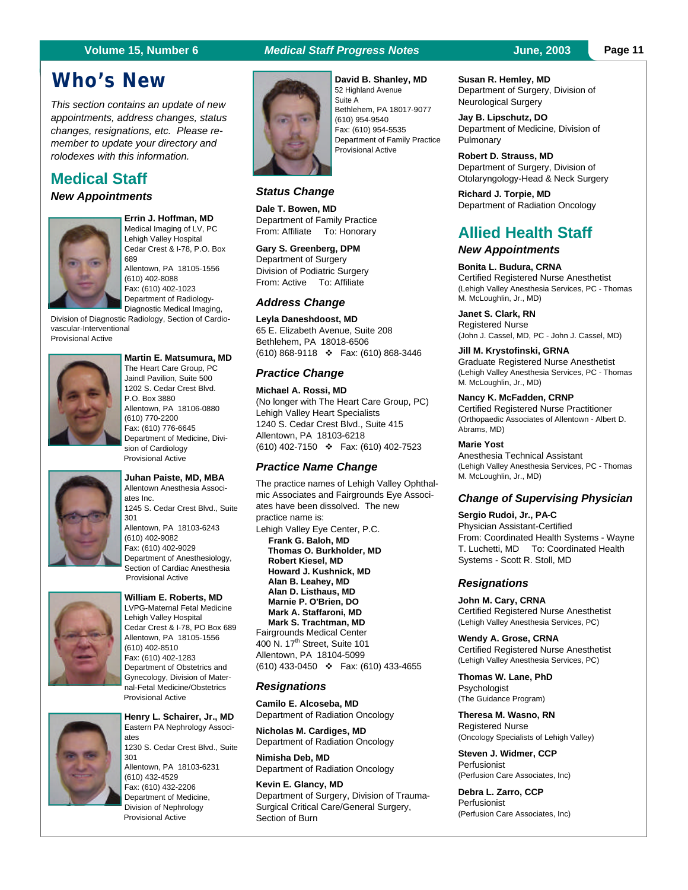### **Who's New**

*This section contains an update of new appointments, address changes, status changes, resignations, etc. Please remember to update your directory and rolodexes with this information.*

### **Medical Staff**

### *New Appointments*



**Errin J. Hoffman, MD** Medical Imaging of LV, PC Lehigh Valley Hospital Cedar Crest & I-78, P.O. Box 689 Allentown, PA 18105-1556 (610) 402-8088 Fax: (610) 402-1023 Department of Radiology-Diagnostic Medical Imaging,

Division of Diagnostic Radiology, Section of Cardiovascular-Interventional Provisional Active



#### **Martin E. Matsumura, MD** The Heart Care Group, PC Jaindl Pavilion, Suite 500 1202 S. Cedar Crest Blvd. P.O. Box 3880 Allentown, PA 18106-0880 (610) 770-2200 Fax: (610) 776-6645 Department of Medicine, Division of Cardiology

Provisional Active



**Juhan Paiste, MD, MBA** Allentown Anesthesia Associates Inc. 1245 S. Cedar Crest Blvd., Suite 301 Allentown, PA 18103-6243 (610) 402-9082 Fax: (610) 402-9029 Department of Anesthesiology, Section of Cardiac Anesthesia Provisional Active



#### **William E. Roberts, MD**

LVPG-Maternal Fetal Medicine Lehigh Valley Hospital Cedar Crest & I-78, PO Box 689 Allentown, PA 18105-1556 (610) 402-8510 Fax: (610) 402-1283 Department of Obstetrics and Gynecology, Division of Maternal-Fetal Medicine/Obstetrics Provisional Active



#### **Henry L. Schairer, Jr., MD** Eastern PA Nephrology Associates 1230 S. Cedar Crest Blvd., Suite 301 Allentown, PA 18103-6231 (610) 432-4529 Fax: (610) 432-2206 Department of Medicine, Division of Nephrology

Provisional Active

### **Volume 15, Number 6** *Medical Staff Progress Notes* **June, 2003**



**David B. Shanley, MD** 52 Highland Avenue Suite A Bethlehem, PA 18017-9077 (610) 954-9540 Fax: (610) 954-5535 Department of Family Practice Provisional Active

### *Status Change*

**Dale T. Bowen, MD** Department of Family Practice From: Affiliate To: Honorary

**Gary S. Greenberg, DPM** Department of Surgery Division of Podiatric Surgery From: Active To: Affiliate

#### *Address Change*

**Leyla Daneshdoost, MD** 65 E. Elizabeth Avenue, Suite 208 Bethlehem, PA 18018-6506 (610) 868-9118 v Fax: (610) 868-3446

#### *Practice Change*

**Michael A. Rossi, MD** (No longer with The Heart Care Group, PC) Lehigh Valley Heart Specialists 1240 S. Cedar Crest Blvd., Suite 415 Allentown, PA 18103-6218 (610) 402-7150 v Fax: (610) 402-7523

#### *Practice Name Change*

The practice names of Lehigh Valley Ophthalmic Associates and Fairgrounds Eye Associates have been dissolved. The new practice name is: Lehigh Valley Eye Center, P.C. **Frank G. Baloh, MD Thomas O. Burkholder, MD Robert Kiesel, MD Howard J. Kushnick, MD Alan B. Leahey, MD Alan D. Listhaus, MD Marnie P. O'Brien, DO Mark A. Staffaroni, MD Mark S. Trachtman, MD** Fairgrounds Medical Center 400 N. 17<sup>th</sup> Street, Suite 101 Allentown, PA 18104-5099 (610) 433-0450 v Fax: (610) 433-4655

#### *Resignations*

**Camilo E. Alcoseba, MD** Department of Radiation Oncology

**Nicholas M. Cardiges, MD** Department of Radiation Oncology

**Nimisha Deb, MD** Department of Radiation Oncology

**Kevin E. Glancy, MD** Department of Surgery, Division of Trauma-Surgical Critical Care/General Surgery, Section of Burn

#### **Susan R. Hemley, MD** Department of Surgery, Division of Neurological Surgery

**Jay B. Lipschutz, DO** Department of Medicine, Division of Pulmonary

**Robert D. Strauss, MD** Department of Surgery, Division of Otolaryngology-Head & Neck Surgery

**Richard J. Torpie, MD** Department of Radiation Oncology

### **Allied Health Staff**

### *New Appointments*

**Bonita L. Budura, CRNA** Certified Registered Nurse Anesthetist (Lehigh Valley Anesthesia Services, PC - Thomas M. McLoughlin, Jr., MD)

**Janet S. Clark, RN** Registered Nurse (John J. Cassel, MD, PC - John J. Cassel, MD)

#### **Jill M. Krystofinski, GRNA**

Graduate Registered Nurse Anesthetist (Lehigh Valley Anesthesia Services, PC - Thomas M. McLoughlin, Jr., MD)

#### **Nancy K. McFadden, CRNP**

Certified Registered Nurse Practitioner (Orthopaedic Associates of Allentown - Albert D. Abrams, MD)

#### **Marie Yost**

Anesthesia Technical Assistant (Lehigh Valley Anesthesia Services, PC - Thomas M. McLoughlin, Jr., MD)

#### *Change of Supervising Physician*

**Sergio Rudoi, Jr., PA-C** Physician Assistant-Certified From: Coordinated Health Systems - Wayne T. Luchetti, MD To: Coordinated Health Systems - Scott R. Stoll, MD

#### *Resignations*

**John M. Cary, CRNA** Certified Registered Nurse Anesthetist (Lehigh Valley Anesthesia Services, PC)

**Wendy A. Grose, CRNA** Certified Registered Nurse Anesthetist (Lehigh Valley Anesthesia Services, PC)

**Thomas W. Lane, PhD** Psychologist (The Guidance Program)

**Theresa M. Wasno, RN** Registered Nurse (Oncology Specialists of Lehigh Valley)

**Steven J. Widmer, CCP** Perfusionist (Perfusion Care Associates, Inc)

**Debra L. Zarro, CCP** Perfusionist (Perfusion Care Associates, Inc)

#### **Page 11**